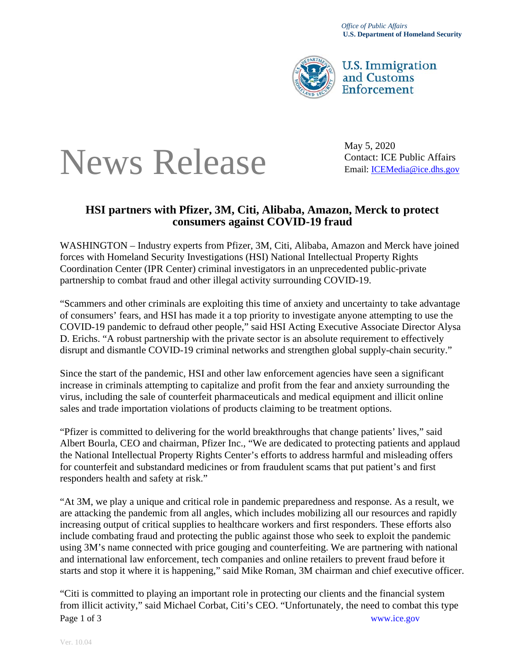

**U.S. Immigration** and Customs Enforcement

## News Release Contact: ICE Public Affairs Contact: ICE Public Affairs

May 5, 2020

## **HSI partners with Pfizer, 3M, Citi, Alibaba, Amazon, Merck to protect consumers against COVID-19 fraud**

WASHINGTON – Industry experts from Pfizer, 3M, Citi, Alibaba, Amazon and Merck have joined forces with Homeland Security Investigations (HSI) National Intellectual Property Rights Coordination Center (IPR Center) criminal investigators in an unprecedented public-private partnership to combat fraud and other illegal activity surrounding COVID-19.

"Scammers and other criminals are exploiting this time of anxiety and uncertainty to take advantage of consumers' fears, and HSI has made it a top priority to investigate anyone attempting to use the COVID-19 pandemic to defraud other people," said HSI Acting Executive Associate Director Alysa D. Erichs. "A robust partnership with the private sector is an absolute requirement to effectively disrupt and dismantle COVID-19 criminal networks and strengthen global supply-chain security."

Since the start of the pandemic, HSI and other law enforcement agencies have seen a significant increase in criminals attempting to capitalize and profit from the fear and anxiety surrounding the virus, including the sale of counterfeit pharmaceuticals and medical equipment and illicit online sales and trade importation violations of products claiming to be treatment options.

"Pfizer is committed to delivering for the world breakthroughs that change patients' lives," said Albert Bourla, CEO and chairman, Pfizer Inc., "We are dedicated to protecting patients and applaud the National Intellectual Property Rights Center's efforts to address harmful and misleading offers for counterfeit and substandard medicines or from fraudulent scams that put patient's and first responders health and safety at risk."

"At 3M, we play a unique and critical role in pandemic preparedness and response. As a result, we are attacking the pandemic from all angles, which includes mobilizing all our resources and rapidly increasing output of critical supplies to healthcare workers and first responders. These efforts also include combating fraud and protecting the public against those who seek to exploit the pandemic using 3M's name connected with price gouging and counterfeiting. We are partnering with national and international law enforcement, tech companies and online retailers to prevent fraud before it starts and stop it where it is happening," said Mike Roman, 3M chairman and chief executive officer.

Page 1 of 3 www.ice.gov "Citi is committed to playing an important role in protecting our clients and the financial system from illicit activity," said Michael Corbat, Citi's CEO. "Unfortunately, the need to combat this type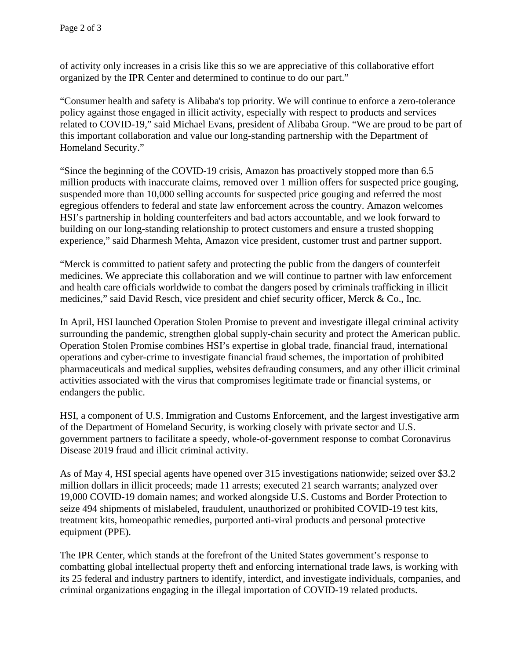of activity only increases in a crisis like this so we are appreciative of this collaborative effort organized by the IPR Center and determined to continue to do our part."

"Consumer health and safety is Alibaba's top priority. We will continue to enforce a zero-tolerance policy against those engaged in illicit activity, especially with respect to products and services related to COVID-19," said Michael Evans, president of Alibaba Group. "We are proud to be part of this important collaboration and value our long-standing partnership with the Department of Homeland Security."

"Since the beginning of the COVID-19 crisis, Amazon has proactively stopped more than 6.5 million products with inaccurate claims, removed over 1 million offers for suspected price gouging, suspended more than 10,000 selling accounts for suspected price gouging and referred the most egregious offenders to federal and state law enforcement across the country. Amazon welcomes HSI's partnership in holding counterfeiters and bad actors accountable, and we look forward to building on our long-standing relationship to protect customers and ensure a trusted shopping experience," said Dharmesh Mehta, Amazon vice president, customer trust and partner support.

"Merck is committed to patient safety and protecting the public from the dangers of counterfeit medicines. We appreciate this collaboration and we will continue to partner with law enforcement and health care officials worldwide to combat the dangers posed by criminals trafficking in illicit medicines," said David Resch, vice president and chief security officer, Merck & Co., Inc.

In April, HSI launched Operation Stolen Promise to prevent and investigate illegal criminal activity surrounding the pandemic, strengthen global supply-chain security and protect the American public. Operation Stolen Promise combines HSI's expertise in global trade, financial fraud, international operations and cyber-crime to investigate financial fraud schemes, the importation of prohibited pharmaceuticals and medical supplies, websites defrauding consumers, and any other illicit criminal activities associated with the virus that compromises legitimate trade or financial systems, or endangers the public.

HSI, a component of U.S. Immigration and Customs Enforcement, and the largest investigative arm of the Department of Homeland Security, is working closely with private sector and U.S. government partners to facilitate a speedy, whole-of-government response to combat Coronavirus Disease 2019 fraud and illicit criminal activity.

As of May 4, HSI special agents have opened over 315 investigations nationwide; seized over \$3.2 million dollars in illicit proceeds; made 11 arrests; executed 21 search warrants; analyzed over 19,000 COVID-19 domain names; and worked alongside U.S. Customs and Border Protection to seize 494 shipments of mislabeled, fraudulent, unauthorized or prohibited COVID-19 test kits, treatment kits, homeopathic remedies, purported anti-viral products and personal protective equipment (PPE).

The IPR Center, which stands at the forefront of the United States government's response to combatting global intellectual property theft and enforcing international trade laws, is working with its 25 federal and industry partners to identify, interdict, and investigate individuals, companies, and criminal organizations engaging in the illegal importation of COVID-19 related products.